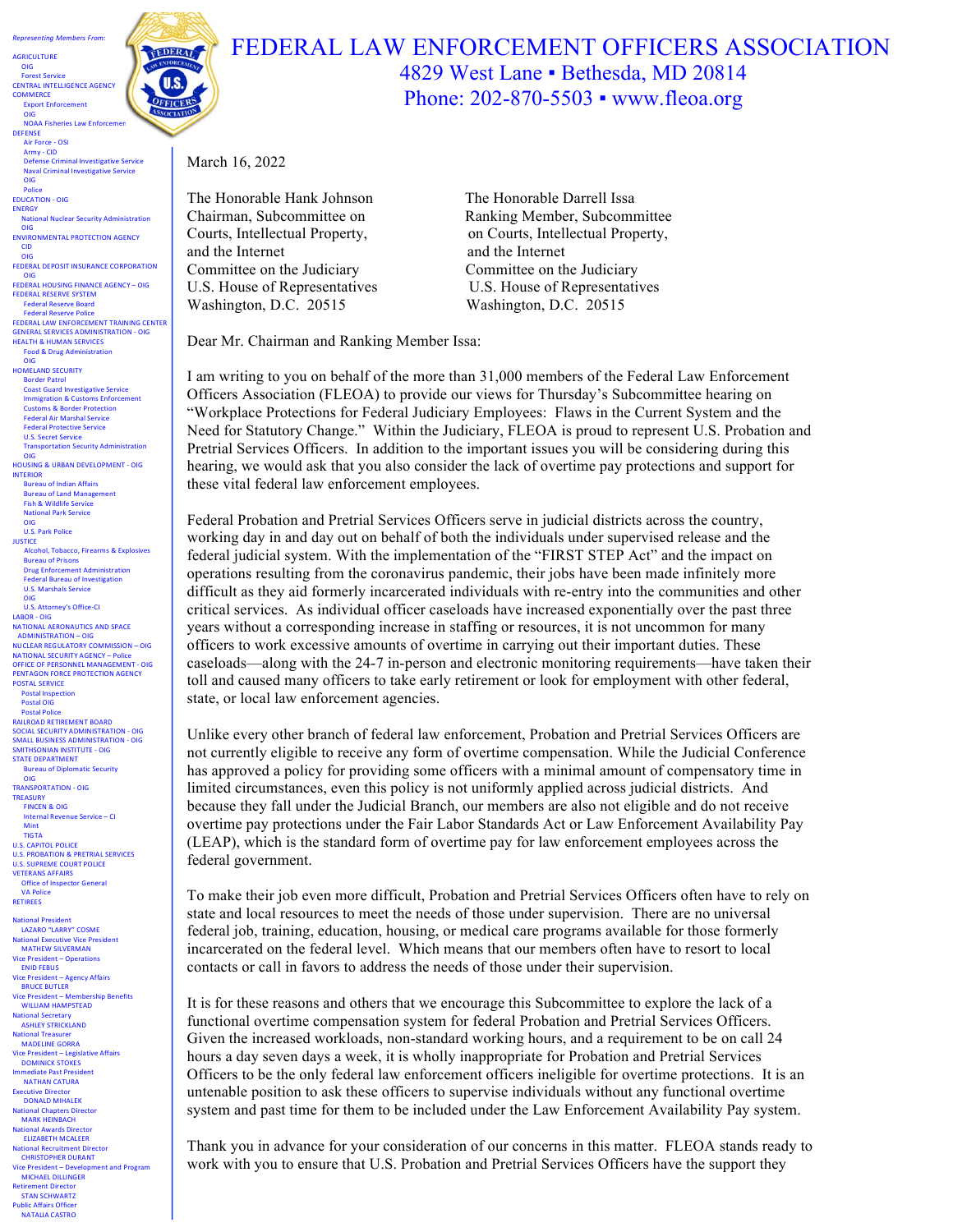

**AGRICULTURE**  OIG 

OIG

DEFENSE

OIG Police EDUCATION - OIG **ENERGY** 

 OIG

 CID

OIG

INTERIOR

Army - CID

Defense Criminal Investigative Service<br>Naval Criminal Investigative Service Naval Criminal Investiga

**National Nuclear Security Administration** 

 OIG FEDERAL DEPOSIT INSURANCE CORPORATION

**FEDERAL HOUSING FINANCE AGENCY - OIG** FEDERAL RESERVE SYSTEM Federal Reserve Board Federal Reserve Police

Coast Guard Investigative Service on & Customs Enforcem Customs & Border Protection Federal Air Marshal Service **Federal Protective Service** U.S. Secret Service

Bureau of Indian Affairs **Bureau of Land Manager** Fish & Wildlife Service **National Park Service** OIG U.S. Park Police **JUSTICE** 

> Bureau of Prisons Drug Enforcement Administration Federal Bureau of Investigation U.S. Marshals Service OIG U.S. Attorney's Office-CI

LABOR - OIG

POSTAL SERVICE **Postal Inspection** Postal OIG **Postal Police** RAILROAD RETIREMENT BOARD SOCIAL SECURITY ADMINISTRATION - OIG<br>SMALL BUSINESS ADMINISTRATION - OIG **SMITHSONIAN INSTITUTE - OIG** STATE DEPARTMENT **Bureau of Diplomatic Security** 

OIG TRANSPORTATION - OIG **TREASURY** FINCEN & OIG Internal Revenue Service – CI<br>Mint

TIGTA

U.S. CAPITOL POLICE<br>U.S. PROBATION & PRETRIAL SERVICES U.S. SUPREME COURT POLICE VETERANS AFFAIRS Office of Inspector General **VA Police** RETIREES al Pres LAZARO "LARRY" COSME National Executive Vice President<br>MATHEW SILVERMAN Vice President - Operations ENID FEBUS<br>Vice President

ent – Agency Affairs

**BRUCE BUTLER** Vice President – Membership Benefits WILLIAM HAMPSTEAD waters<br>tional Secretary **ASHLEY STRICKLAND National Treasurer<br>MADELINE GORRA** Vice President - Legislative Affairs DOMINICK STOKES Immediate Past Pres **NATHAN CATURA**<br>Executive Director Executive Director<br>DONALD MIHALEK **National Chapters Director** MARK HEINBACH **National Awards Director<br>ELIZABETH MCALEER Itional Recruitment Director** CHRISTOPHER DURANT Vice President - Development and Program MICHAEL DILLINGER Retirement Director<br>STAN SCHWARTZ Public Affairs Officer NATALIA CASTRO

**FEDERAL LAW ENFORCEMENT TRAINING CENTER** GENERAL SERVICES ADMINISTRATION - OIG<br>HEALTH & HUMAN SERVICES Food & Drug Administration OIG HOMELAND SECURITY Border Patrol

nsportation Security Administration OIG HOUSING & URBAN DEVELOPMENT - OIG

Alcohol, Tobacco, Firearms & Explosives

NATIONAL AERONAUTICS AND SPACE ADMINISTRATION - OIG NUCLEAR REGULATORY COMMISSION – OIG **NATIONAL SECURITY AGENCY – Police OFFICE OF PERSONNEL MANAGEMENT - OIG** PENTAGON FORCE PROTECTION AGENCY

**ENVIRONMENTAL PROTECTION AGENCY** 

## FEDERAL LAW ENFORCEMENT OFFICERS ASSOCIATION 4829 West Lane ▪ Bethesda, MD 20814 Phone: 202-870-5503 • www.fleoa.org

March 16, 2022

The Honorable Hank Johnson The Honorable Darrell Issa and the Internet and the Internet Committee on the Judiciary Committee on the Judiciary Washington, D.C. 20515 Washington, D.C. 20515

Chairman, Subcommittee on Ranking Member, Subcommittee Courts, Intellectual Property, on Courts, Intellectual Property, U.S. House of Representatives U.S. House of Representatives

Dear Mr. Chairman and Ranking Member Issa:

I am writing to you on behalf of the more than 31,000 members of the Federal Law Enforcement Officers Association (FLEOA) to provide our views for Thursday's Subcommittee hearing on "Workplace Protections for Federal Judiciary Employees: Flaws in the Current System and the Need for Statutory Change." Within the Judiciary, FLEOA is proud to represent U.S. Probation and Pretrial Services Officers. In addition to the important issues you will be considering during this hearing, we would ask that you also consider the lack of overtime pay protections and support for these vital federal law enforcement employees.

Federal Probation and Pretrial Services Officers serve in judicial districts across the country, working day in and day out on behalf of both the individuals under supervised release and the federal judicial system. With the implementation of the "FIRST STEP Act" and the impact on operations resulting from the coronavirus pandemic, their jobs have been made infinitely more difficult as they aid formerly incarcerated individuals with re-entry into the communities and other critical services. As individual officer caseloads have increased exponentially over the past three years without a corresponding increase in staffing or resources, it is not uncommon for many officers to work excessive amounts of overtime in carrying out their important duties. These caseloads—along with the 24-7 in-person and electronic monitoring requirements—have taken their toll and caused many officers to take early retirement or look for employment with other federal, state, or local law enforcement agencies.

Unlike every other branch of federal law enforcement, Probation and Pretrial Services Officers are not currently eligible to receive any form of overtime compensation. While the Judicial Conference has approved a policy for providing some officers with a minimal amount of compensatory time in limited circumstances, even this policy is not uniformly applied across judicial districts. And because they fall under the Judicial Branch, our members are also not eligible and do not receive overtime pay protections under the Fair Labor Standards Act or Law Enforcement Availability Pay (LEAP), which is the standard form of overtime pay for law enforcement employees across the federal government.

To make their job even more difficult, Probation and Pretrial Services Officers often have to rely on state and local resources to meet the needs of those under supervision. There are no universal federal job, training, education, housing, or medical care programs available for those formerly incarcerated on the federal level. Which means that our members often have to resort to local contacts or call in favors to address the needs of those under their supervision.

It is for these reasons and others that we encourage this Subcommittee to explore the lack of a functional overtime compensation system for federal Probation and Pretrial Services Officers. Given the increased workloads, non-standard working hours, and a requirement to be on call 24 hours a day seven days a week, it is wholly inappropriate for Probation and Pretrial Services Officers to be the only federal law enforcement officers ineligible for overtime protections. It is an untenable position to ask these officers to supervise individuals without any functional overtime system and past time for them to be included under the Law Enforcement Availability Pay system.

Thank you in advance for your consideration of our concerns in this matter. FLEOA stands ready to work with you to ensure that U.S. Probation and Pretrial Services Officers have the support they